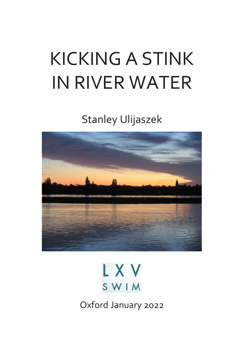# KICKING A STINK IN RIVER WATER

Stanley Ulijaszek





Oxford January 2022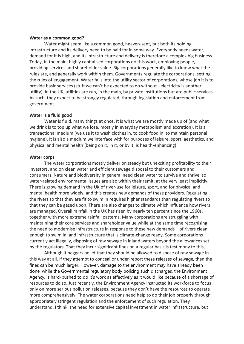#### **Water as a common good?**

Water might seem like a common good, heaven-sent, but both its holding infrastructure and its delivery need to be paid for in some way. Everybody needs water, demand for it is high, and its infrastructure and delivery is therefore a complex big business. Today, in the main, highly capitalised corporations do this work, employing people, providing services and shareholder value. Big corporations generally like to know what the rules are, and generally work within them. Governments regulate the corporations, setting the rules of engagement. Water falls into the utility sector of corporations, whose job it is to provide basic services (stuff we can't be expected to do without - electricity is another utility). In the UK, utilities are run, in the main, by private institutions but are public services. As such, they expect to be strongly regulated, through legislation and enforcement from government.

### **Water is a fluid good**

Water is fluid, many things at once. It is what we are mostly made up of (and what we drink is to top up what we lose, mostly in everyday metabolism and excretion). It is a transactional medium (we use it to wash clothes in, to cook food in, to maintain personal hygiene). It is also a medium we interface with for purposes of leisure, sport, aesthetics, and physical and mental health (being on it, in it, or by it, is health-enhancing).

### **Water corps**

The water corporations mostly deliver on steady but unexciting profitability to their investors, and on clean water and efficient sewage disposal to their customers and consumers. Nature and biodiversity in general need clean water to survive and thrive, so water-related environmental issues are also within their remit, at the very least implicitly. There is growing demand in the UK of river-use for leisure, sport, and for physical and mental health more widely, and this creates new demands of these providers. Regulating the rivers so that they are fit to swim in requires higher standards than regulating rivers so that they can be gazed upon. There are also changes to climate which influence how rivers are managed. Overall rainfall in the UK has risen by nearly ten percent since the 1960s, together with more extreme rainfall patterns. Many corporations are struggling with maintaining their core services and shareholder value while at the same time recognising the need to modernise infrastructure in response to these new demands – of rivers clean enough to swim in, and infrastructure that is climate-change ready. Some corporations currently act illegally, disposing of raw sewage in inland waters beyond the allowances set by the regulators. That they incur significant fines on a regular basis is testimony to this,

Although it beggars belief that they should be allowed to dispose of raw sewage in this way at all. If they attempt to conceal or under-report these releases of sewage, then the fines can be much larger. However, damage to the environment may have already been done, while the Governmental regulatory body policing such discharges, the Environment Agency, is hard-pushed to do it's work as effectively as it would like because of a shortage of resources to do so. Just recently, the Environment Agency instructed its workforce to focus only on more serious pollution releases, because they don't have the resources to operate more comprehensively. The water corporations need help to do their job properly through appropriately stringent regulation and the enforcement of such regulation. They understand, I think, the need for extensive capital investment in water infrastructure, but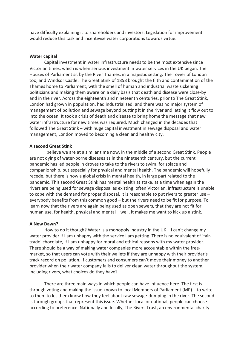have difficulty explaining it to shareholders and investors. Legislation for improvement would reduce this task and incentivise water corporations towards virtue.

# **Water capital**

Capital investment in water infrastructure needs to be the most extensive since Victorian times, which is when serious investment in water services in the UK began. The Houses of Parliament sit by the River Thames, in a majestic setting. The Tower of London too, and Windsor Castle. The Great Stink of 1858 brought the filth and contamination of the Thames home to Parliament, with the smell of human and industrial waste sickening politicians and making them aware on a daily basis that death and disease were close-by and in the river. Across the eighteenth and nineteenth centuries, prior to The Great Stink, London had grown in population, had industrialised, and there was no major system of management of pollution and sewage beyond putting it in the river and letting it flow out to into the ocean. It took a crisis of death and disease to bring home the message that new water infrastructure for new times was required. Much changed in the decades that followed The Great Stink – with huge capital investment in sewage disposal and water management, London moved to becoming a clean and healthy city.

# **A second Great Stink**

I believe we are at a similar time now, in the middle of a second Great Stink. People are not dying of water-borne diseases as in the nineteenth century, but the current pandemic has led people in droves to take to the rivers to swim, for solace and companionship, but especially for physical and mental health. The pandemic will hopefully recede, but there is now a global crisis in mental health, in large part related to the pandemic. This second Great Stink has mental health at stake, at a time when again the rivers are being used for sewage disposal as existing, often Victorian, infrastructure is unable to cope with the demand for proper disposal. It is reasonable to put rivers to greater use – everybody benefits from this common good – but the rivers need to be fit for purpose. To learn now that the rivers are again being used as open sewers, that they are not fit for human use, for health, physical and mental – well, it makes me want to kick up a stink.

## **A New Dawn?**

How to do it though? Water is a monopoly industry in the UK – I can't change my water provider if I am unhappy with the service I am getting. There is no equivalent of 'fairtrade' chocolate, if I am unhappy for moral and ethical reasons with my water provider. There should be a way of making water companies more accountable within the freemarket, so that users can vote with their wallets if they are unhappy with their provider's track record on pollution. If customers and consumers can't move their money to another provider when their water company fails to deliver clean water throughout the system, including rivers, what choices do they have?

There are three main ways in which people can have influence here. The first is through voting and making the issue known to local Members of Parliament (MP) – to write to them to let them know how they feel about raw sewage-dumping in the river. The second is through groups that represent this issue. Whether local or national, people can choose according to preference. Nationally and locally, The Rivers Trust, an environmental charity